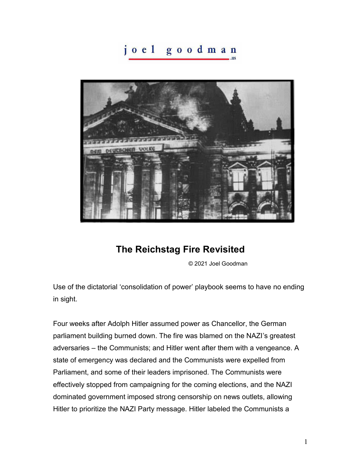## joel goodman



## **The Reichstag Fire Revisited**

© 2021 Joel Goodman

Use of the dictatorial 'consolidation of power' playbook seems to have no ending in sight.

Four weeks after Adolph Hitler assumed power as Chancellor, the German parliament building burned down. The fire was blamed on the NAZI's greatest adversaries – the Communists; and Hitler went after them with a vengeance. A state of emergency was declared and the Communists were expelled from Parliament, and some of their leaders imprisoned. The Communists were effectively stopped from campaigning for the coming elections, and the NAZI dominated government imposed strong censorship on news outlets, allowing Hitler to prioritize the NAZI Party message. Hitler labeled the Communists a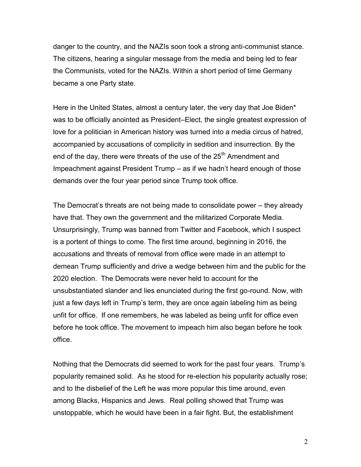danger to the country, and the NAZIs soon took a strong anti-communist stance. The citizens, hearing a singular message from the media and being led to fear the Communists, voted for the NAZIs. Within a short period of time Germany became a one Party state.

Here in the United States, almost a century later, the very day that Joe Biden\* was to be officially anointed as President–Elect, the single greatest expression of love for a politician in American history was turned into a media circus of hatred, accompanied by accusations of complicity in sedition and insurrection. By the end of the day, there were threats of the use of the  $25<sup>th</sup>$  Amendment and Impeachment against President Trump – as if we hadn't heard enough of those demands over the four year period since Trump took office.

The Democrat's threats are not being made to consolidate power – they already have that. They own the government and the militarized Corporate Media. Unsurprisingly, Trump was banned from Twitter and Facebook, which I suspect is a portent of things to come. The first time around, beginning in 2016, the accusations and threats of removal from office were made in an attempt to demean Trump sufficiently and drive a wedge between him and the public for the 2020 election. The Democrats were never held to account for the unsubstantiated slander and lies enunciated during the first go-round. Now, with just a few days left in Trump's term, they are once again labeling him as being unfit for office. If one remembers, he was labeled as being unfit for office even before he took office. The movement to impeach him also began before he took office.

Nothing that the Democrats did seemed to work for the past four years. Trump's popularity remained solid. As he stood for re-election his popularity actually rose; and to the disbelief of the Left he was more popular this time around, even among Blacks, Hispanics and Jews. Real polling showed that Trump was unstoppable, which he would have been in a fair fight. But, the establishment

2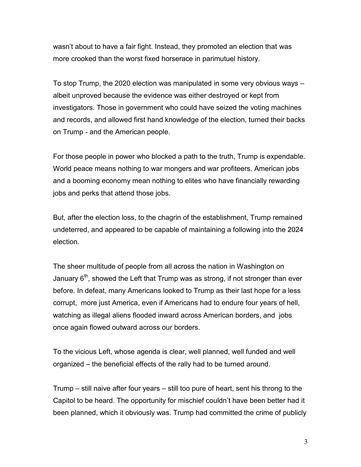wasn't about to have a fair fight. Instead, they promoted an election that was more crooked than the worst fixed horserace in parimutuel history.

To stop Trump, the 2020 election was manipulated in some very obvious ways – albeit unproved because the evidence was either destroyed or kept from investigators. Those in government who could have seized the voting machines and records, and allowed first hand knowledge of the election, turned their backs on Trump - and the American people.

For those people in power who blocked a path to the truth, Trump is expendable. World peace means nothing to war mongers and war profiteers. American jobs and a booming economy mean nothing to elites who have financially rewarding jobs and perks that attend those jobs.

But, after the election loss, to the chagrin of the establishment, Trump remained undeterred, and appeared to be capable of maintaining a following into the 2024 election.

The sheer multitude of people from all across the nation in Washington on January  $6<sup>th</sup>$ , showed the Left that Trump was as strong, if not stronger than ever before. In defeat, many Americans looked to Trump as their last hope for a less corrupt, more just America, even if Americans had to endure four years of hell, watching as illegal aliens flooded inward across American borders, and jobs once again flowed outward across our borders.

To the vicious Left, whose agenda is clear, well planned, well funded and well organized – the beneficial effects of the rally had to be turned around.

Trump – still naive after four years – still too pure of heart, sent his throng to the Capitol to be heard. The opportunity for mischief couldn't have been better had it been planned, which it obviously was. Trump had committed the crime of publicly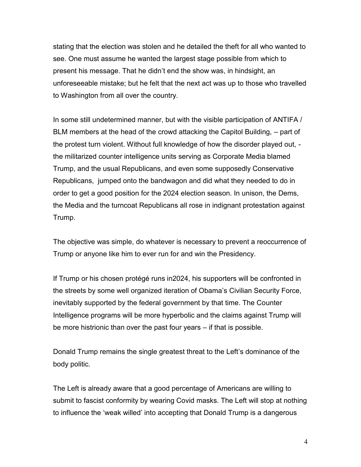stating that the election was stolen and he detailed the theft for all who wanted to see. One must assume he wanted the largest stage possible from which to present his message. That he didn't end the show was, in hindsight, an unforeseeable mistake; but he felt that the next act was up to those who travelled to Washington from all over the country.

In some still undetermined manner, but with the visible participation of ANTIFA / BLM members at the head of the crowd attacking the Capitol Building, – part of the protest turn violent. Without full knowledge of how the disorder played out, the militarized counter intelligence units serving as Corporate Media blamed Trump, and the usual Republicans, and even some supposedly Conservative Republicans, jumped onto the bandwagon and did what they needed to do in order to get a good position for the 2024 election season. In unison, the Dems, the Media and the turncoat Republicans all rose in indignant protestation against Trump.

The objective was simple, do whatever is necessary to prevent a reoccurrence of Trump or anyone like him to ever run for and win the Presidency.

If Trump or his chosen protégé runs in2024, his supporters will be confronted in the streets by some well organized iteration of Obama's Civilian Security Force, inevitably supported by the federal government by that time. The Counter Intelligence programs will be more hyperbolic and the claims against Trump will be more histrionic than over the past four years – if that is possible.

Donald Trump remains the single greatest threat to the Left's dominance of the body politic.

The Left is already aware that a good percentage of Americans are willing to submit to fascist conformity by wearing Covid masks. The Left will stop at nothing to influence the 'weak willed' into accepting that Donald Trump is a dangerous